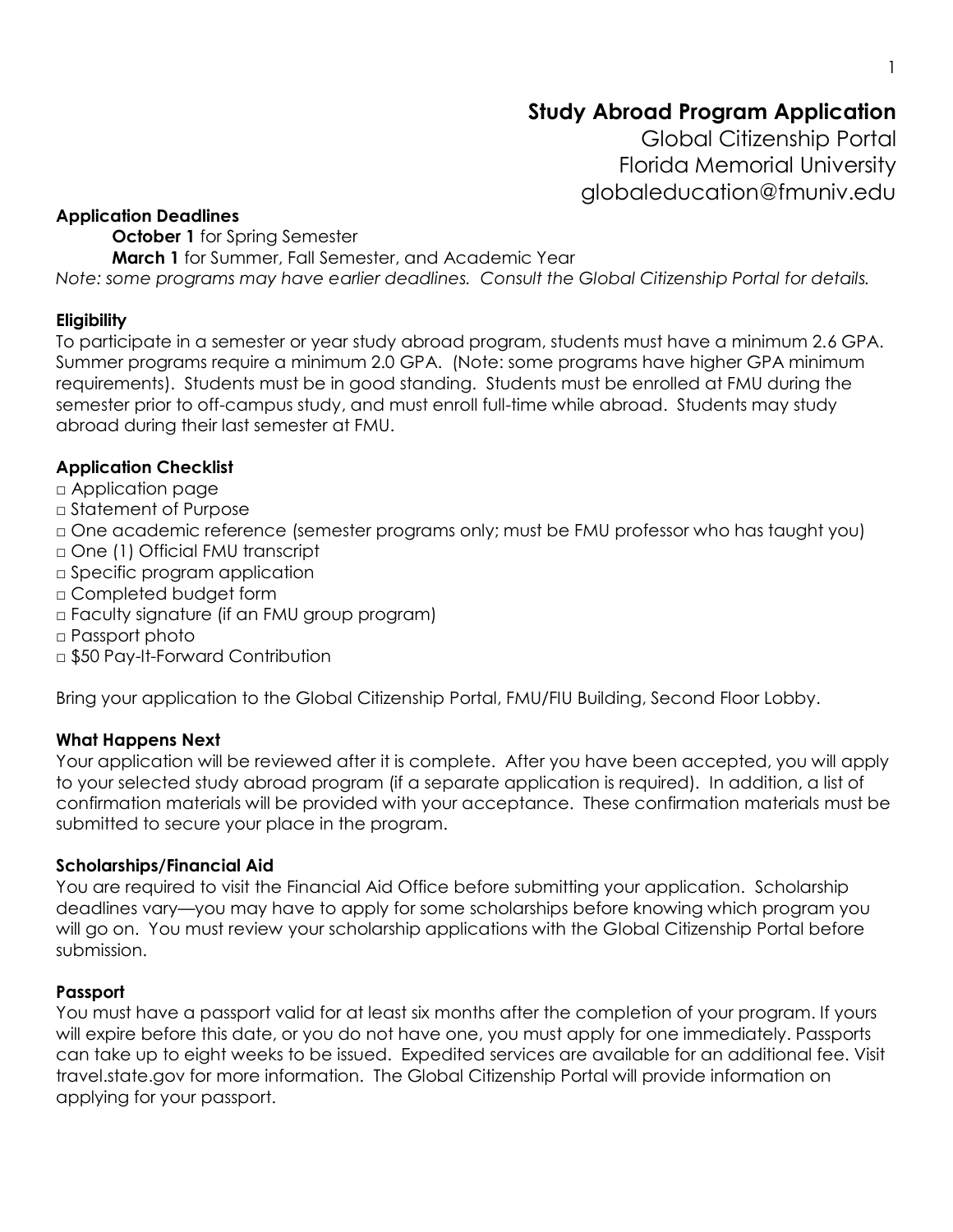# **Study Abroad Program Application**

Global Citizenship Portal Florida Memorial University globaleducation@fmuniv.edu

#### **Application Deadlines**

**October 1** for Spring Semester

**March 1** for Summer, Fall Semester, and Academic Year

*Note: some programs may have earlier deadlines. Consult the Global Citizenship Portal for details.*

### **Eligibility**

To participate in a semester or year study abroad program, students must have a minimum 2.6 GPA. Summer programs require a minimum 2.0 GPA. (Note: some programs have higher GPA minimum requirements). Students must be in good standing. Students must be enrolled at FMU during the semester prior to off-campus study, and must enroll full-time while abroad. Students may study abroad during their last semester at FMU.

## **Application Checklist**

□ Application page

□ Statement of Purpose

□ One academic reference (semester programs only; must be FMU professor who has taught you)

- □ One (1) Official FMU transcript
- □ Specific program application
- □ Completed budget form
- □ Faculty signature (if an FMU group program)
- □ Passport photo
- □ \$50 Pay-It-Forward Contribution

Bring your application to the Global Citizenship Portal, FMU/FIU Building, Second Floor Lobby.

### **What Happens Next**

Your application will be reviewed after it is complete. After you have been accepted, you will apply to your selected study abroad program (if a separate application is required). In addition, a list of confirmation materials will be provided with your acceptance. These confirmation materials must be submitted to secure your place in the program.

### **Scholarships/Financial Aid**

You are required to visit the Financial Aid Office before submitting your application. Scholarship deadlines vary—you may have to apply for some scholarships before knowing which program you will go on. You must review your scholarship applications with the Global Citizenship Portal before submission.

### **Passport**

You must have a passport valid for at least six months after the completion of your program. If yours will expire before this date, or you do not have one, you must apply for one immediately. Passports can take up to eight weeks to be issued. Expedited services are available for an additional fee. Visit travel.state.gov for more information. The Global Citizenship Portal will provide information on applying for your passport.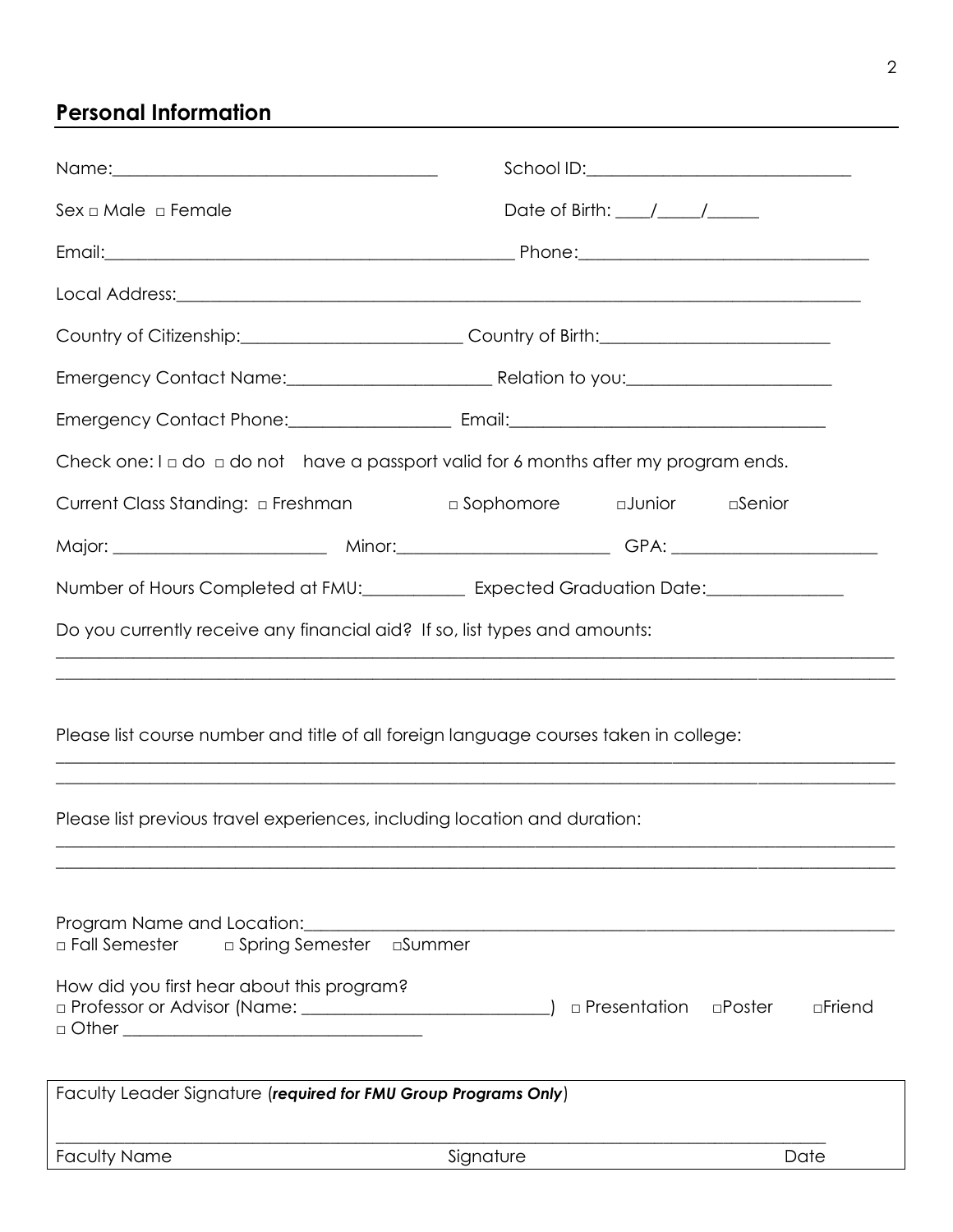# **Personal Information**

| Name: \\contact \\contact \\contact \\contact \\contact \\contact \\contact \\contact \\contact \\contact \\contact \\contact \\contact \\contact \\contact \\contact \\contact \\contact \\contact \\contact \\contact \\cont |                                     |                                     |                  |
|--------------------------------------------------------------------------------------------------------------------------------------------------------------------------------------------------------------------------------|-------------------------------------|-------------------------------------|------------------|
| Sex ⊡ Male ⊃ Female                                                                                                                                                                                                            |                                     | Date of Birth: $\frac{1}{\sqrt{2}}$ |                  |
|                                                                                                                                                                                                                                |                                     |                                     |                  |
|                                                                                                                                                                                                                                |                                     |                                     |                  |
| Country of Citizenship:___________________________Country of Birth:_________________________________                                                                                                                           |                                     |                                     |                  |
|                                                                                                                                                                                                                                |                                     |                                     |                  |
|                                                                                                                                                                                                                                |                                     |                                     |                  |
| Check one: $I \square$ do $\square$ do not have a passport valid for 6 months after my program ends.                                                                                                                           |                                     |                                     |                  |
| Current Class Standing: a Freshman                                                                                                                                                                                             | □ Sophomore    □ Junior    □ Senior |                                     |                  |
|                                                                                                                                                                                                                                |                                     |                                     |                  |
| Number of Hours Completed at FMU:_______________ Expected Graduation Date:_________________________                                                                                                                            |                                     |                                     |                  |
| Do you currently receive any financial aid? If so, list types and amounts:                                                                                                                                                     |                                     |                                     |                  |
| Please list course number and title of all foreign language courses taken in college:<br>Please list previous travel experiences, including location and duration:                                                             |                                     |                                     |                  |
|                                                                                                                                                                                                                                |                                     |                                     |                  |
| Program Name and Location:<br>□ Fall Semester<br>□ Spring Semester □ Summer<br>How did you first hear about this program?<br>D Professor or Advisor (Name: 2008) 2014 12:00:00 Professor or Advisor (Name: 2008)               |                                     | $\Box$ Presentation $\Box$ Poster   | $\square$ Friend |
| Faculty Leader Signature (required for FMU Group Programs Only)                                                                                                                                                                |                                     |                                     |                  |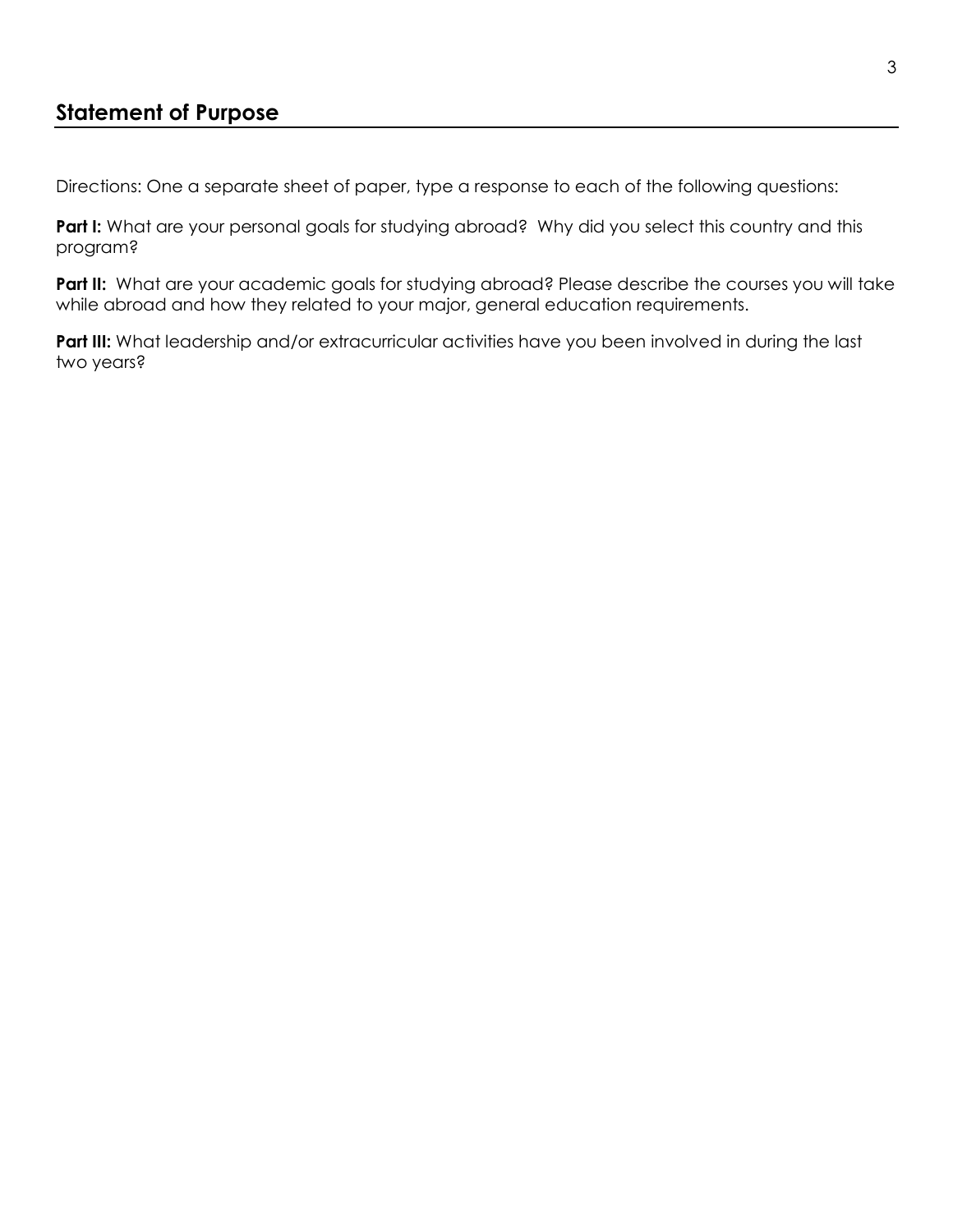## **Statement of Purpose**

Directions: One a separate sheet of paper, type a response to each of the following questions:

Part I: What are your personal goals for studying abroad? Why did you select this country and this program?

Part II: What are your academic goals for studying abroad? Please describe the courses you will take while abroad and how they related to your major, general education requirements.

**Part III:** What leadership and/or extracurricular activities have you been involved in during the last two years?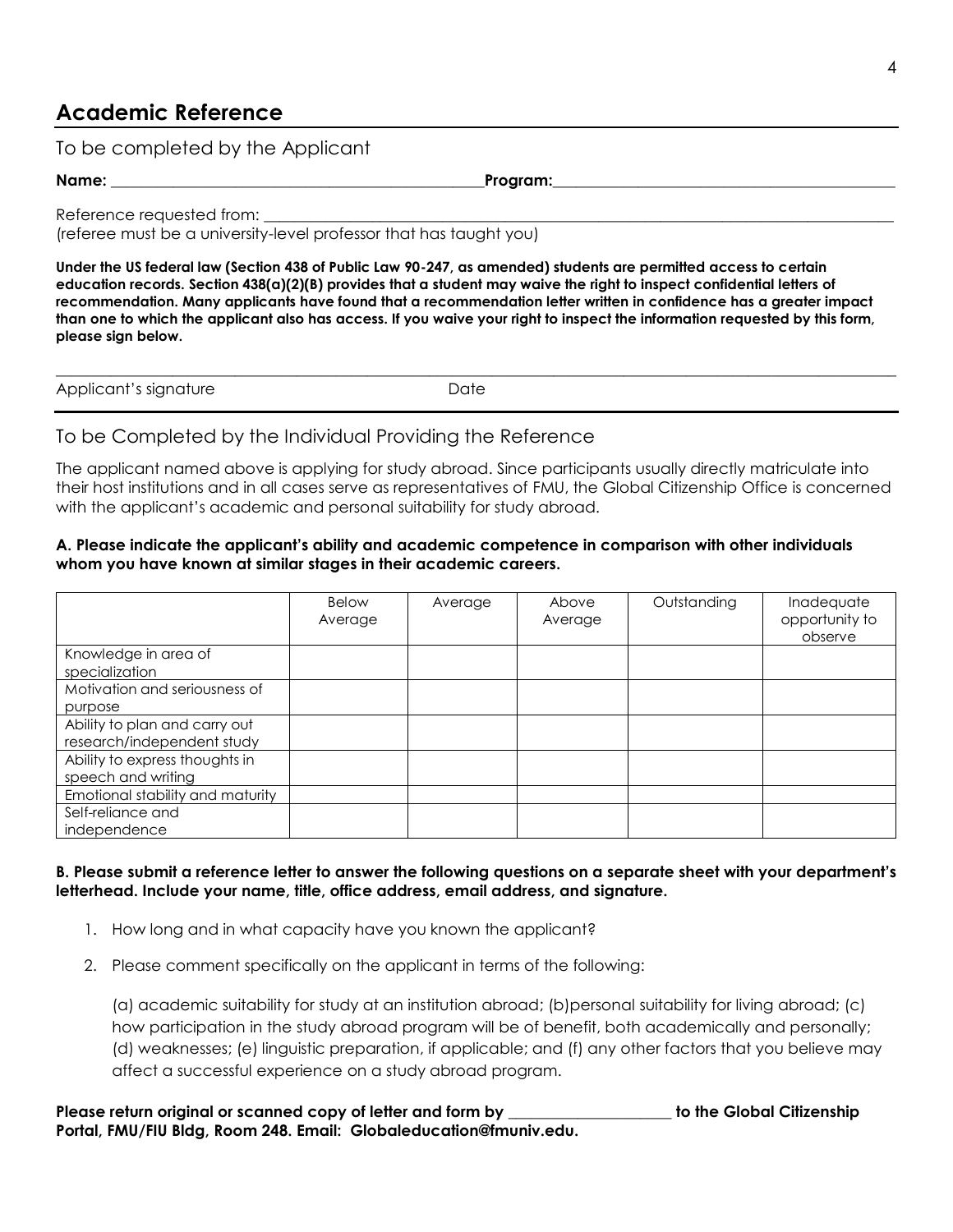# **Academic Reference**

To be completed by the Applicant

**Name: \_\_\_\_\_\_\_\_\_\_\_\_\_\_\_\_\_\_\_\_\_\_\_\_\_\_\_\_\_\_\_\_\_\_\_\_\_\_\_\_\_\_\_\_\_\_\_\_Program:\_\_\_\_\_\_\_\_\_\_\_\_\_\_\_\_\_\_\_\_\_\_\_\_\_\_\_\_\_\_\_\_\_\_\_\_\_\_\_\_\_\_\_\_**

Reference requested from:

(referee must be a university-level professor that has taught you)

**Under the US federal law (Section 438 of Public Law 90-247, as amended) students are permitted access to certain education records. Section 438(a)(2)(B) provides that a student may waive the right to inspect confidential letters of recommendation. Many applicants have found that a recommendation letter written in confidence has a greater impact than one to which the applicant also has access. If you waive your right to inspect the information requested by this form, please sign below.**

| Applicant's signature | ⊃ate |
|-----------------------|------|

#### To be Completed by the Individual Providing the Reference

The applicant named above is applying for study abroad. Since participants usually directly matriculate into their host institutions and in all cases serve as representatives of FMU, the Global Citizenship Office is concerned with the applicant's academic and personal suitability for study abroad.

#### **A. Please indicate the applicant's ability and academic competence in comparison with other individuals whom you have known at similar stages in their academic careers.**

|                                                             | <b>Below</b><br>Average | Average | Above<br>Average | Outstanding | Inadequate<br>opportunity to<br>observe |
|-------------------------------------------------------------|-------------------------|---------|------------------|-------------|-----------------------------------------|
| Knowledge in area of<br>specialization                      |                         |         |                  |             |                                         |
| Motivation and seriousness of<br>purpose                    |                         |         |                  |             |                                         |
| Ability to plan and carry out<br>research/independent study |                         |         |                  |             |                                         |
| Ability to express thoughts in<br>speech and writing        |                         |         |                  |             |                                         |
| Emotional stability and maturity                            |                         |         |                  |             |                                         |
| Self-reliance and<br>independence                           |                         |         |                  |             |                                         |

#### **B. Please submit a reference letter to answer the following questions on a separate sheet with your department's letterhead. Include your name, title, office address, email address, and signature.**

- 1. How long and in what capacity have you known the applicant?
- 2. Please comment specifically on the applicant in terms of the following:

(a) academic suitability for study at an institution abroad; (b)personal suitability for living abroad; (c) how participation in the study abroad program will be of benefit, both academically and personally; (d) weaknesses; (e) linguistic preparation, if applicable; and (f) any other factors that you believe may affect a successful experience on a study abroad program.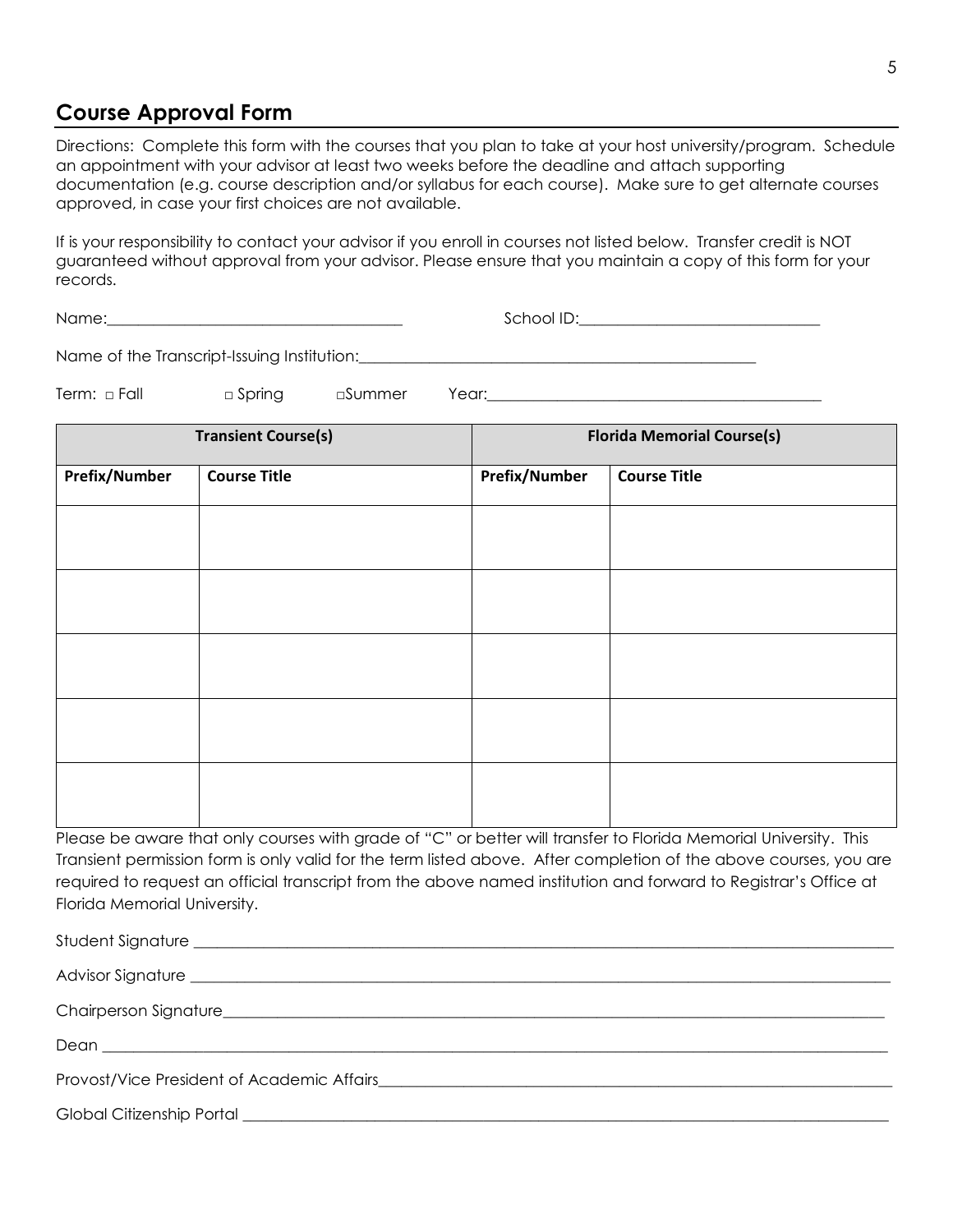## **Course Approval Form**

Directions: Complete this form with the courses that you plan to take at your host university/program. Schedule an appointment with your advisor at least two weeks before the deadline and attach supporting documentation (e.g. course description and/or syllabus for each course). Make sure to get alternate courses approved, in case your first choices are not available.

If is your responsibility to contact your advisor if you enroll in courses not listed below. Transfer credit is NOT guaranteed without approval from your advisor. Please ensure that you maintain a copy of this form for your records.

Name:\_\_\_\_\_\_\_\_\_\_\_\_\_\_\_\_\_\_\_\_\_\_\_\_\_\_\_\_\_\_\_\_\_\_\_\_\_\_ School ID:\_\_\_\_\_\_\_\_\_\_\_\_\_\_\_\_\_\_\_\_\_\_\_\_\_\_\_\_\_\_\_

Name of the Transcript-Issuing Institution:\_\_\_\_\_\_\_\_\_\_\_\_\_\_\_\_\_\_\_\_\_\_\_\_\_\_\_\_\_\_\_\_\_\_\_\_\_\_\_\_\_\_\_\_\_\_\_\_\_\_\_

Term: □ Fall □ Spring □Summer Year:\_\_\_\_\_\_\_\_\_\_\_\_\_\_\_\_\_\_\_\_\_\_\_\_\_\_\_\_\_\_\_\_\_\_\_\_\_\_\_\_\_\_\_

**Transient Course(s) Florida Memorial Course(s) Prefix/Number Course Title Prefix/Number Course Title**

Please be aware that only courses with grade of "C" or better will transfer to Florida Memorial University. This Transient permission form is only valid for the term listed above. After completion of the above courses, you are required to request an official transcript from the above named institution and forward to Registrar's Office at Florida Memorial University.

Student Signature \_\_\_\_\_\_\_\_\_\_\_\_\_\_\_\_\_\_\_\_\_\_\_\_\_\_\_\_\_\_\_\_\_\_\_\_\_\_\_\_\_\_\_\_\_\_\_\_\_\_\_\_\_\_\_\_\_\_\_\_\_\_\_\_\_\_\_\_\_\_\_\_\_\_\_\_\_\_\_\_\_\_\_\_\_\_\_\_\_\_ Advisor Signature \_\_\_\_\_\_\_\_\_\_\_\_\_\_\_\_\_\_\_\_\_\_\_\_\_\_\_\_\_\_\_\_\_\_\_\_\_\_\_\_\_\_\_\_\_\_\_\_\_\_\_\_\_\_\_\_\_\_\_\_\_\_\_\_\_\_\_\_\_\_\_\_\_\_\_\_\_\_\_\_\_\_\_\_\_\_\_\_\_\_ Chairperson Signature Dean \_\_\_\_\_\_\_\_\_\_\_\_\_\_\_\_\_\_\_\_\_\_\_\_\_\_\_\_\_\_\_\_\_\_\_\_\_\_\_\_\_\_\_\_\_\_\_\_\_\_\_\_\_\_\_\_\_\_\_\_\_\_\_\_\_\_\_\_\_\_\_\_\_\_\_\_\_\_\_\_\_\_\_\_\_\_\_\_\_\_\_\_\_\_\_\_\_\_\_\_\_ Provost/Vice President of Academic Affairs Global Citizenship Portal **Exercise 10**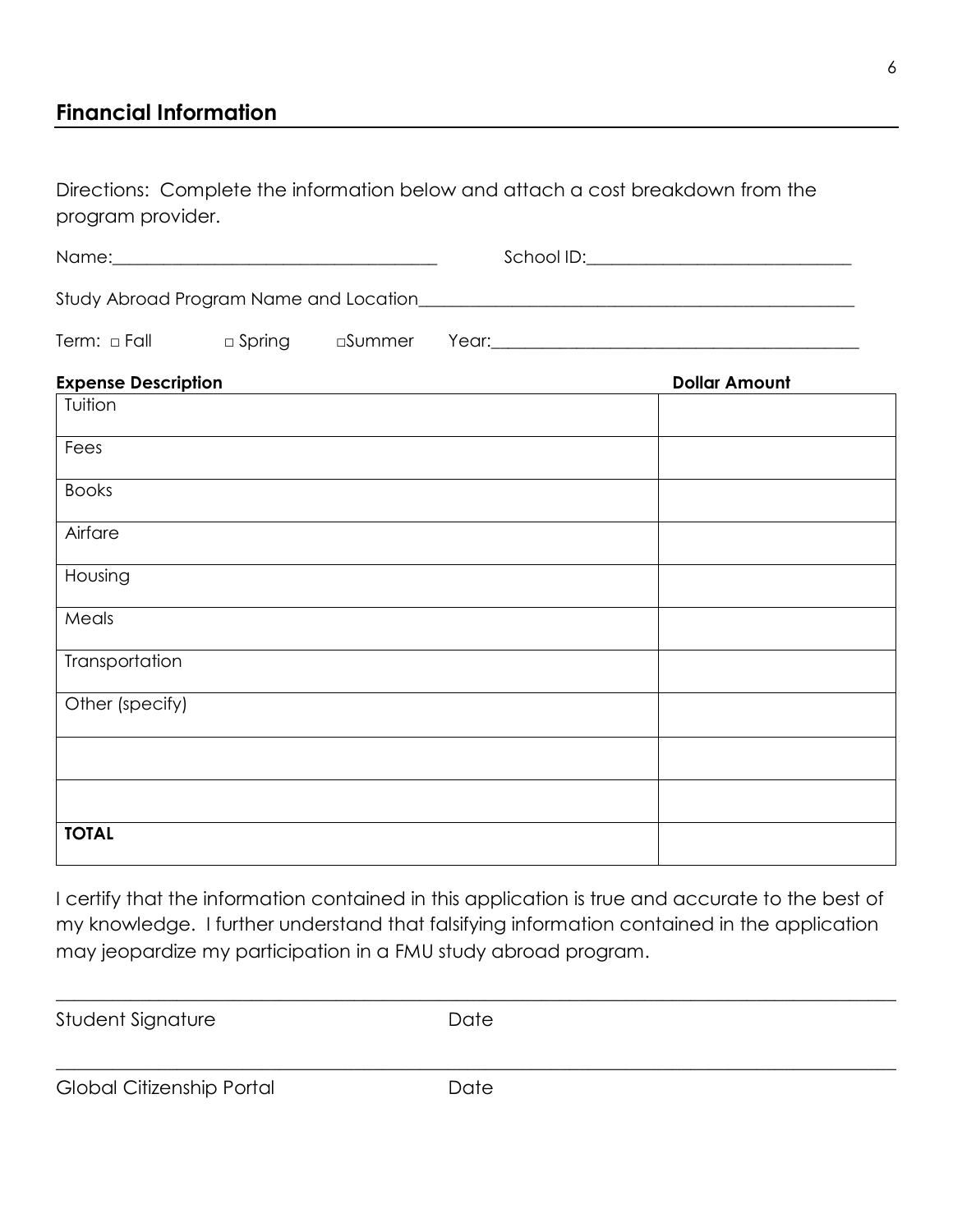# **Financial Information**

Directions: Complete the information below and attach a cost breakdown from the program provider.

| Name:                                            |          |         | School ID: |
|--------------------------------------------------|----------|---------|------------|
| Study Abroad Program Name and Location__________ |          |         |            |
| Term: a Fall                                     | □ Spring | □S∪mmer | Year:      |

| <b>Expense Description</b> | <b>Dollar Amount</b> |
|----------------------------|----------------------|
| Tuition                    |                      |
| Fees                       |                      |
| <b>Books</b>               |                      |
| Airfare                    |                      |
| Housing                    |                      |
| Meals                      |                      |
| Transportation             |                      |
| Other (specify)            |                      |
|                            |                      |
|                            |                      |
| <b>TOTAL</b>               |                      |

I certify that the information contained in this application is true and accurate to the best of my knowledge. I further understand that falsifying information contained in the application may jeopardize my participation in a FMU study abroad program.

| Student Signature         | Date |  |
|---------------------------|------|--|
|                           |      |  |
| Global Citizenship Portal | Date |  |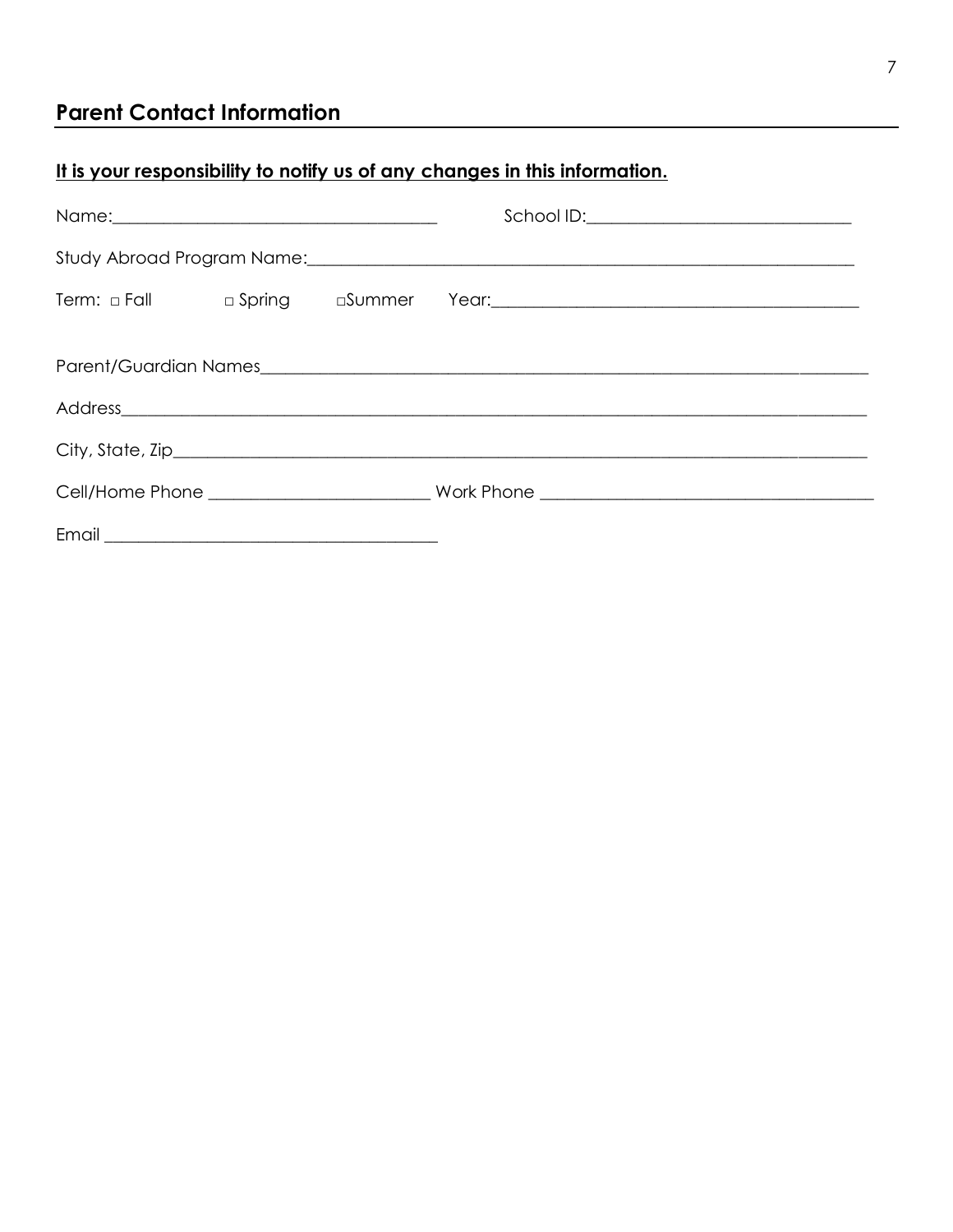# **Parent Contact Information**

# It is your responsibility to notify us of any changes in this information.

|       |  | School ID:_______________________________ |
|-------|--|-------------------------------------------|
|       |  |                                           |
|       |  |                                           |
|       |  |                                           |
|       |  |                                           |
|       |  |                                           |
|       |  |                                           |
|       |  |                                           |
| Email |  |                                           |